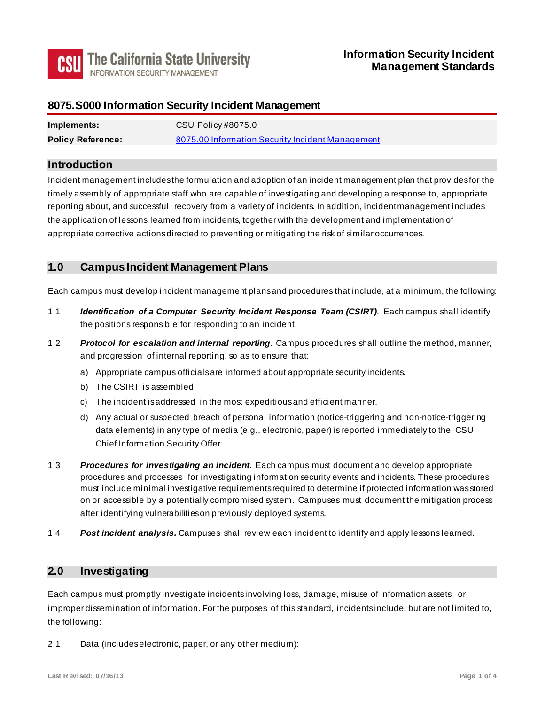

## **8075.S000 Information Security Incident Management**

| Implements:              | CSU Policy #8075.0                               |
|--------------------------|--------------------------------------------------|
| <b>Policy Reference:</b> | 8075.00 Information Security Incident Management |

#### **Introduction**

 reporting about, and successful recovery from a variety of incidents. In addition, incident management includes appropriate corrective actions directed to preventing or mitigating the risk of similar occurrences. Incident management includes the formulation and adoption of an incident management plan that provides for the timely assembly of appropriate staff who are capable of investigating and developing a response to, appropriate the application of lessons learned from incidents, together with the development and implementation of

## **1.0 Campus Incident Management Plans**

Each campus must develop incident management plans and procedures that include, at a minimum, the following:

- 1.1 *Identification of a Computer Security Incident Response Team (CSIRT)*. Each campus shall identify the positions responsible for responding to an incident.
- 1.2 *Protocol for escalation and internal reporting*. Campus procedures shall outline the method, manner, and progression of internal reporting, so as to ensure that:
	- a) Appropriate campus officials are informed about appropriate security incidents.
	- b) The CSIRT is assembled.
	- c) The incident is addressed in the most expeditious and efficient manner.
	- d) Any actual or suspected breach of personal information (notice-triggering and non-notice-triggering data elements) in any type of media (e.g., electronic, paper) is reported immediately to the CSU Chief Information Security Offer.
- 1.3 *Procedures for investigating an incident*. Each campus must document and develop appropriate procedures and processes for investigating information security events and incidents. These procedures must include minimal investigative requirements required to determine if protected information was stored on or accessible by a potentially compromised system. Campuses must document the mitigation process after identifying vulnerabilities on previously deployed systems.
- 1.4 *Post incident analysis.* Campuses shall review each incident to identify and apply lessons learned.

# **2.0 Investigating**

 Each campus must promptly investigate incidents involving loss, damage, misuse of information assets, or improper dissemination of information. For the purposes of this standard, incidents include, but are not limited to, the following:

2.1 Data (includeselectronic, paper, or any other medium):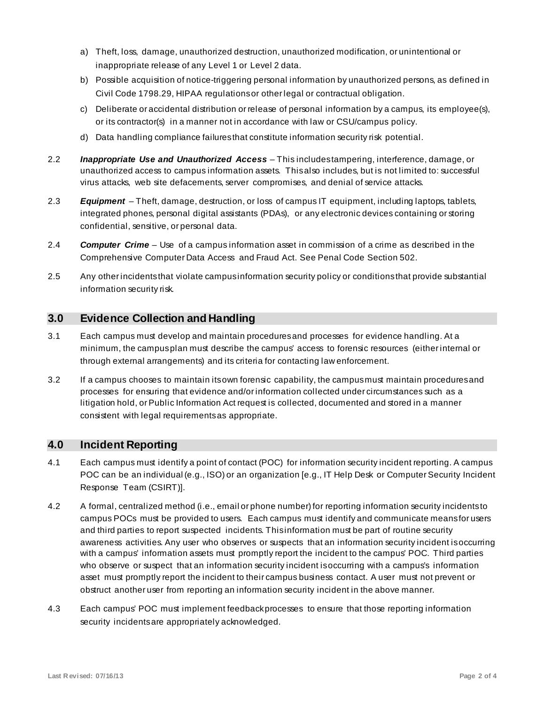- inappropriate release of any Level 1 or Level 2 data. a) Theft, loss, damage, unauthorized destruction, unauthorized modification, or unintentional or
- b) Possible acquisition of notice-triggering personal information by unauthorized persons, as defined in Civil Code 1798.29, HIPAA regulations or other legal or contractual obligation.
- c) Deliberate or accidental distribution or release of personal information by a campus, its employee(s), or its contractor(s) in a manner not in accordance with law or CSU/campus policy.
- d) Data handling compliance failures that constitute information security risk potential.
- 2.2 *Inappropriate Use and Unauthorized Access*  This includes tampering, interference, damage, or unauthorized access to campus information assets. This also includes, but is not limited to: successful virus attacks, web site defacements, server compromises, and denial of service attacks.
- 2.3 *Equipment*  Theft, damage, destruction, or loss of campus IT equipment, including laptops, tablets, integrated phones, personal digital assistants (PDAs), or any electronic devices containing or storing confidential, sensitive, or personal data.
- 2.4 *Computer Crime*  Use of a campus information asset in commission of a crime as described in the Comprehensive Computer Data Access and Fraud Act. See Penal Code Section 502.
- 2.5 Any other incidents that violate campus information security policy or conditions that provide substantial information security risk.

# **3.0 Evidence Collection and Handling**

- minimum, the campusplan must describe the campus' access to forensic resources (either internal or through external arrangements) and its criteria for contacting law enforcement. 3.1 Each campus must develop and maintain proceduresand processes for evidence handling. At a
- 3.2 If a campus chooses to maintain its own forensic capability, the campus must maintain procedures and processes for ensuring that evidence and/or information collected under circumstances such as a litigation hold, or Public Information Act request is collected, documented and stored in a manner consistent with legal requirements as appropriate.

# <span id="page-1-0"></span>**4.0 Incident Reporting**

- 4.1 Each campus must identify a point of contact (POC) for information security incident reporting. A campus POC can be an individual (e.g., ISO) or an organization [e.g., IT Help Desk or Computer Security Incident Response Team (CSIRT)].
- campus POCs must be provided to users. Each campus must identify and communicate means for users and third parties to report suspected incidents. This information must be part of routine security awareness activities. Any user who observes or suspects that an information security incident is occurring with a campus' information assets must promptly report the incident to the campus' POC. Third parties who observe or suspect that an information security incident is occurring with a campus's information asset must promptly report the incident to their campus business contact. A user must not prevent or obstruct another user from reporting an information security incident in the above manner. 4.2 A formal, centralized method (i.e., email or phone number) for reporting information security incidents to
- 4.3 Each campus' POC must implement feedback processes to ensure that those reporting information security incidents are appropriately acknowledged.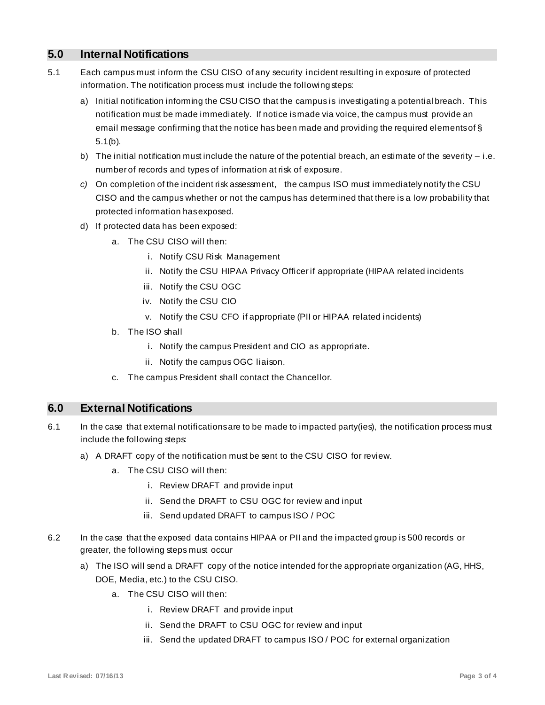## **5.0 Internal Notifications**

- 5.1 Each campus must inform the CSU CISO of any security incident resulting in exposure of protected information. The notification process must include the following steps:
	- a) Initial notification informing the CSU CISO that the campus is investigating a potential breach. This notification must be made immediately. If notice is made via voice, the campus must provide an email message confirming that the notice has been made and providing the required elements of § 5.1(b).
	- number of records and types of information at risk of exposure. b) The initial notification must include the nature of the potential breach, an estimate of the severity – i.e.
	- *c)* On completion of the incident risk assessment, the campus ISO must immediately notify the CSU CISO and the campus whether or not the campus has determined that there is a low probability that protected information has exposed.
	- d) If protected data has been exposed:
		- a. The CSU CISO will then:
			- i. Notify CSU Risk Management
			- ii. Notify the CSU HIPAA Privacy Officer if appropriate (HIPAA related incidents
			- iii. Notify the CSU OGC
			- iv. Notify the CSU CIO
			- v. Notify the CSU CFO if appropriate (PII or HIPAA related incidents)
		- b. The ISO shall
			- i. Notify the campus President and CIO as appropriate.
			- ii. Notify the campus OGC liaison.
		- c. The campus President shall contact the Chancellor.

## **6.0 External Notifications**

- 6.1 In the case that external notifications are to be made to impacted party(ies), the notification process must include the following steps:
	- a) A DRAFT copy of the notification must be sent to the CSU CISO for review.
		- a. The CSU CISO will then:
			- i. Review DRAFT and provide input
			- ii. Send the DRAFT to CSU OGC for review and input
			- iii. Send updated DRAFT to campus ISO / POC
- 6.2 In the case that the exposed data contains HIPAA or PII and the impacted group is 500 records or greater, the following steps must occur
	- a) The ISO will send a DRAFT copy of the notice intended for the appropriate organization (AG, HHS, DOE, Media, etc.) to the CSU CISO.
		- a. The CSU CISO will then:
			- i. Review DRAFT and provide input
			- ii. Send the DRAFT to CSU OGC for review and input
			- iii. Send the updated DRAFT to campus ISO / POC for external organization